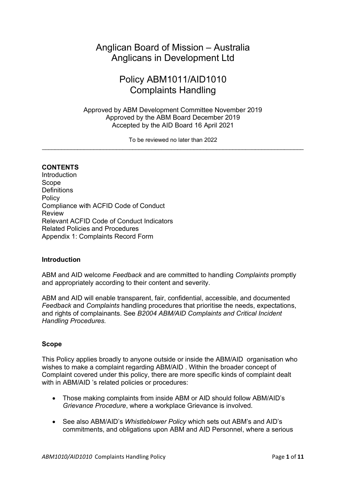# Anglican Board of Mission – Australia Anglicans in Development Ltd

# Policy ABM1011/AID1010 Complaints Handling

Approved by ABM Development Committee November 2019 Approved by the ABM Board December 2019 Accepted by the AID Board 16 April 2021

To be reviewed no later than 2022

# **CONTENTS**

Introduction **Scope Definitions** Policy Compliance with ACFID Code of Conduct Review Relevant ACFID Code of Conduct Indicators Related Policies and Procedures Appendix 1: Complaints Record Form

# **Introduction**

ABM and AID welcome *Feedback* and are committed to handling *Complaints* promptly and appropriately according to their content and severity.

ABM and AID will enable transparent, fair, confidential, accessible, and documented *Feedback* and *Complaints* handling procedures that prioritise the needs, expectations, and rights of complainants. See *B2004 ABM/AID Complaints and Critical Incident Handling Procedures.*

# **Scope**

This Policy applies broadly to anyone outside or inside the ABM/AID organisation who wishes to make a complaint regarding ABM/AID . Within the broader concept of Complaint covered under this policy, there are more specific kinds of complaint dealt with in ABM/AID 's related policies or procedures:

- · Those making complaints from inside ABM or AID should follow ABM/AID's *Grievance Procedure*, where a workplace Grievance is involved.
- · See also ABM/AID's *Whistleblower Policy* which sets out ABM's and AID's commitments, and obligations upon ABM and AID Personnel, where a serious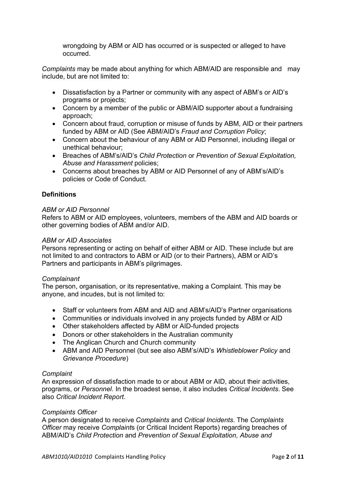wrongdoing by ABM or AID has occurred or is suspected or alleged to have occurred.

*Complaints* may be made about anything for which ABM/AID are responsible and may include, but are not limited to:

- · Dissatisfaction by a Partner or community with any aspect of ABM's or AID's programs or projects;
- Concern by a member of the public or ABM/AID supporter about a fundraising approach;
- · Concern about fraud, corruption or misuse of funds by ABM, AID or their partners funded by ABM or AID (See ABM/AID's *Fraud and Corruption Policy*;
- · Concern about the behaviour of any ABM or AID Personnel, including illegal or unethical behaviour;
- · Breaches of ABM's/AID's *Child Protection* or *Prevention of Sexual Exploitation, Abuse and Harassment* policies;
- · Concerns about breaches by ABM or AID Personnel of any of ABM's/AID's policies or Code of Conduct.

# **Definitions**

## *ABM or AID Personnel*

Refers to ABM or AID employees, volunteers, members of the ABM and AID boards or other governing bodies of ABM and/or AID.

## *ABM or AID Associates*

Persons representing or acting on behalf of either ABM or AID. These include but are not limited to and contractors to ABM or AID (or to their Partners), ABM or AID's Partners and participants in ABM's pilgrimages.

#### *Complainant*

The person, organisation, or its representative, making a Complaint. This may be anyone, and incudes, but is not limited to:

- · Staff or volunteers from ABM and AID and ABM's/AID's Partner organisations
- · Communities or individuals involved in any projects funded by ABM or AID
- · Other stakeholders affected by ABM or AID-funded projects
- · Donors or other stakeholders in the Australian community
- The Anglican Church and Church community
- · ABM and AID Personnel (but see also ABM's/AID's *Whistleblower Policy* and *Grievance Procedure*)

# *Complaint*

An expression of dissatisfaction made to or about ABM or AID, about their activities, programs, or *Personnel*. In the broadest sense, it also includes *Critical Incidents*. See also *Critical Incident Report*.

# *Complaints Officer*

A person designated to receive *Complaints* and *Critical Incidents*. The *Complaints Officer* may receive *Complaint*s (or Critical Incident Reports) regarding breaches of ABM/AID's *Child Protection* and *Prevention of Sexual Exploitation, Abuse and*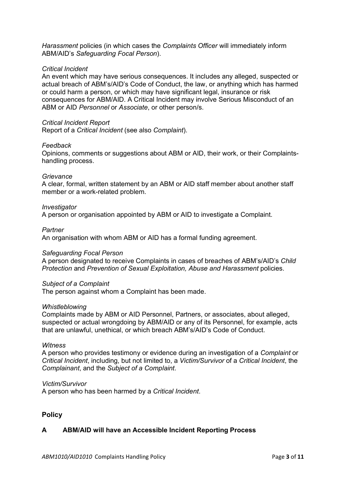*Harassment* policies (in which cases the *Complaints Officer* will immediately inform ABM/AID's *Safeguarding Focal Person*).

## *Critical Incident*

An event which may have serious consequences. It includes any alleged, suspected or actual breach of ABM's/AID's Code of Conduct, the law, or anything which has harmed or could harm a person, or which may have significant legal, insurance or risk consequences for ABM/AID. A Critical Incident may involve Serious Misconduct of an ABM or AID *Personnel* or *Associate*, or other person/s.

## *Critical Incident Report*

Report of a *Critical Incident* (see also *Complaint*).

## *Feedback*

Opinions, comments or suggestions about ABM or AID, their work, or their Complaintshandling process.

#### *Grievance*

A clear, formal, written statement by an ABM or AID staff member about another staff member or a work-related problem.

#### *Investigator*

A person or organisation appointed by ABM or AID to investigate a Complaint.

#### *Partner*

An organisation with whom ABM or AID has a formal funding agreement.

#### *Safeguarding Focal Person*

A person designated to receive Complaints in cases of breaches of ABM's/AID's *Child Protection* and *Prevention of Sexual Exploitation, Abuse and Harassment* policies.

#### *Subject of a Complaint*

The person against whom a Complaint has been made.

#### *Whistleblowing*

Complaints made by ABM or AID Personnel, Partners, or associates, about alleged, suspected or actual wrongdoing by ABM/AID or any of its Personnel, for example, acts that are unlawful, unethical, or which breach ABM's/AID's Code of Conduct.

#### *Witness*

A person who provides testimony or evidence during an investigation of a *Complaint* or *Critical Incident*, including, but not limited to, a *Victim/Survivor* of a *Critical Incident*, the *Complainant*, and the *Subject of a Complaint*.

#### *Victim/Survivor*

A person who has been harmed by a *Critical Incident*.

# **Policy**

# **A ABM/AID will have an Accessible Incident Reporting Process**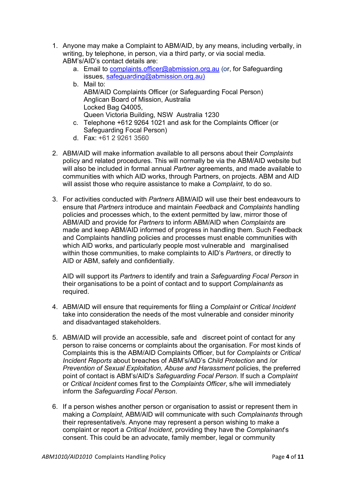- 1. Anyone may make a Complaint to ABM/AID, by any means, including verbally, in writing, by telephone, in person, via a third party, or via social media. ABM's/AID's contact details are:
	- a. Email to complaints.officer@abmission.org.au (or, for Safeguarding issues, safeguarding@abmission.org.au)
	- b. Mail to: ABM/AID Complaints Officer (or Safeguarding Focal Person) Anglican Board of Mission, Australia Locked Bag Q4005, Queen Victoria Building, NSW Australia 1230
	- c. Telephone +612 9264 1021 and ask for the Complaints Officer (or Safeguarding Focal Person)
	- d. Fax: +61 2 9261 3560
- 2. ABM/AID will make information available to all persons about their *Complaints* policy and related procedures. This will normally be via the ABM/AID website but will also be included in formal annual *Partner* agreements, and made available to communities with which AID works, through Partners, on projects. ABM and AID will assist those who require assistance to make a *Complaint*, to do so.
- 3. For activities conducted with *Partners* ABM/AID will use their best endeavours to ensure that *Partners* introduce and maintain *Feedback* and *Complaints* handling policies and processes which, to the extent permitted by law, mirror those of ABM/AID and provide for *Partners* to inform ABM/AID when *Complaints* are made and keep ABM/AID informed of progress in handling them. Such Feedback and Complaints handling policies and processes must enable communities with which AID works, and particularly people most vulnerable and marginalised within those communities, to make complaints to AID's *Partners*, or directly to AID or ABM, safely and confidentially.

AID will support its *Partners* to identify and train a *Safeguarding Focal Person* in their organisations to be a point of contact and to support *Complainants* as required.

- 4. ABM/AID will ensure that requirements for filing a *Complaint* or *Critical Incident* take into consideration the needs of the most vulnerable and consider minority and disadvantaged stakeholders.
- 5. ABM/AID will provide an accessible, safe and discreet point of contact for any person to raise concerns or complaints about the organisation. For most kinds of Complaints this is the ABM/AID Complaints Officer, but for *Complaints* or *Critical Incident Reports* about breaches of ABM's/AID's *Child Protection* and /or *Prevention of Sexual Exploitation, Abuse and Harassment* policies, the preferred point of contact is ABM's/AID's *Safeguarding Focal Person*. If such a *Complaint* or *Critical Incident* comes first to the *Complaints Officer*, s/he will immediately inform the *Safeguarding Focal Person*.
- 6. If a person wishes another person or organisation to assist or represent them in making a *Complaint*, ABM/AID will communicate with such *Complainants* through their representative/s. Anyone may represent a person wishing to make a complaint or report a *Critical Incident*, providing they have the *Complainant*'s consent. This could be an advocate, family member, legal or community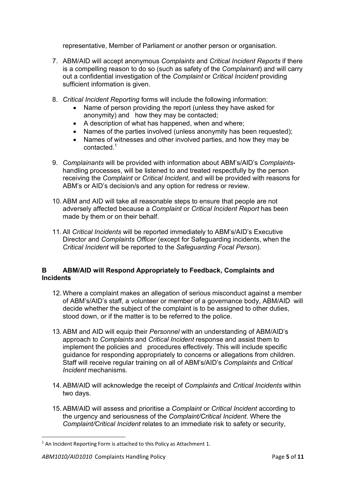representative, Member of Parliament or another person or organisation.

- 7. ABM/AID will accept anonymous *Complaints* and *Critical Incident Reports* if there is a compelling reason to do so (such as safety of the *Complainant*) and will carry out a confidential investigation of the *Complaint* or *Critical Incident* providing sufficient information is given.
- 8. *Critical Incident Reporting* forms will include the following information:
	- · Name of person providing the report (unless they have asked for anonymity) and how they may be contacted;
	- · A description of what has happened, when and where;
	- · Names of the parties involved (unless anonymity has been requested);
	- · Names of witnesses and other involved parties, and how they may be contacted<sup>1</sup>
- 9. *Complainants* will be provided with information about ABM's/AID's *Complaints*handling processes, will be listened to and treated respectfully by the person receiving the *Complaint* or *Critical Incident*, and will be provided with reasons for ABM's or AID's decision/s and any option for redress or review.
- 10. ABM and AID will take all reasonable steps to ensure that people are not adversely affected because a *Complaint* or *Critical Incident Report* has been made by them or on their behalf.
- 11. All *Critical Incidents* will be reported immediately to ABM's/AID's Executive Director and *Complaints Officer* (except for Safeguarding incidents, when the *Critical Incident* will be reported to the *Safeguarding Focal Person*).

# **B ABM/AID will Respond Appropriately to Feedback, Complaints and Incidents**

- 12. Where a complaint makes an allegation of serious misconduct against a member of ABM's/AID's staff, a volunteer or member of a governance body, ABM/AID will decide whether the subject of the complaint is to be assigned to other duties, stood down, or if the matter is to be referred to the police.
- 13. ABM and AID will equip their *Personnel* with an understanding of ABM/AID's approach to *Complaints* and *Critical Incident* response and assist them to implement the policies and procedures effectively. This will include specific guidance for responding appropriately to concerns or allegations from children. Staff will receive regular training on all of ABM's/AID's *Complaints* and *Critical Incident* mechanisms.
- 14. ABM/AID will acknowledge the receipt of *Complaints* and *Critical Incidents* within two days.
- 15. ABM/AID will assess and prioritise a *Complaint* or *Critical Incident* according to the urgency and seriousness of the *Complaint/Critical Incident*. Where the *Complaint/Critical Incident* relates to an immediate risk to safety or security,

 $1$  An Incident Reporting Form is attached to this Policy as Attachment 1.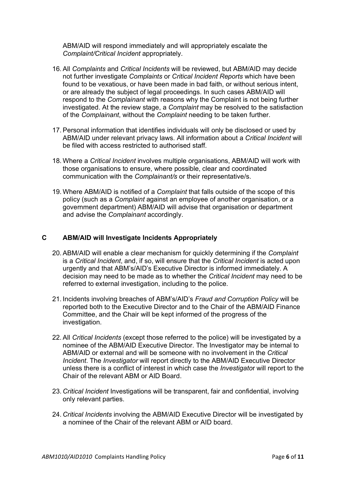ABM/AID will respond immediately and will appropriately escalate the *Complaint/Critical Incident* appropriately.

- 16. All *Complaints* and *Critical Incidents* will be reviewed, but ABM/AID may decide not further investigate *Complaints* or *Critical Incident Reports* which have been found to be vexatious, or have been made in bad faith, or without serious intent, or are already the subject of legal proceedings. In such cases ABM/AID will respond to the *Complainant* with reasons why the Complaint is not being further investigated. At the review stage, a *Complaint* may be resolved to the satisfaction of the *Complainant*, without the *Complaint* needing to be taken further.
- 17. Personal information that identifies individuals will only be disclosed or used by ABM/AID under relevant privacy laws. All information about a *Critical Incident* will be filed with access restricted to authorised staff.
- 18. Where a *Critical Incident* involves multiple organisations, ABM/AID will work with those organisations to ensure, where possible, clear and coordinated communication with the *Complainant/s* or their representative/s.
- 19. Where ABM/AID is notified of a *Complaint* that falls outside of the scope of this policy (such as a *Complaint* against an employee of another organisation, or a government department) ABM/AID will advise that organisation or department and advise the *Complainant* accordingly.

# **C ABM/AID will Investigate Incidents Appropriately**

- 20. ABM/AID will enable a clear mechanism for quickly determining if the *Complaint* is a *Critical Incident*, and, if so, will ensure that the *Critical Incident* is acted upon urgently and that ABM's/AID's Executive Director is informed immediately. A decision may need to be made as to whether the *Critical Incident* may need to be referred to external investigation, including to the police.
- 21. Incidents involving breaches of ABM's/AID's *Fraud and Corruption Policy* will be reported both to the Executive Director and to the Chair of the ABM/AID Finance Committee, and the Chair will be kept informed of the progress of the investigation.
- 22. All *Critical Incidents* (except those referred to the police) will be investigated by a nominee of the ABM/AID Executive Director. The Investigator may be internal to ABM/AID or external and will be someone with no involvement in the *Critical Incident*. The *Investigator* will report directly to the ABM/AID Executive Director unless there is a conflict of interest in which case the *Investigato*r will report to the Chair of the relevant ABM or AID Board.
- 23. *Critical Incident* Investigations will be transparent, fair and confidential, involving only relevant parties.
- 24. *Critical Incidents* involving the ABM/AID Executive Director will be investigated by a nominee of the Chair of the relevant ABM or AID board.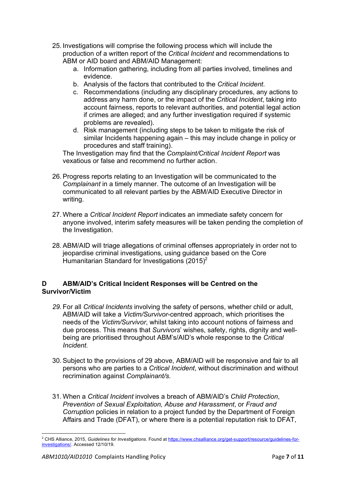- 25. Investigations will comprise the following process which will include the production of a written report of the *Critical Incident* and recommendations to ABM or AID board and ABM/AID Management:
	- a. Information gathering, including from all parties involved, timelines and evidence.
	- b. Analysis of the factors that contributed to the *Critical Incident*.
	- c. Recommendations (including any disciplinary procedures, any actions to address any harm done, or the impact of the *Critical Incident*, taking into account fairness, reports to relevant authorities, and potential legal action if crimes are alleged; and any further investigation required if systemic problems are revealed).
	- d. Risk management (including steps to be taken to mitigate the risk of similar Incidents happening again – this may include change in policy or procedures and staff training).

The Investigation may find that the *Complaint/Critical Incident Report* was vexatious or false and recommend no further action.

- 26. Progress reports relating to an Investigation will be communicated to the *Complainant* in a timely manner. The outcome of an Investigation will be communicated to all relevant parties by the ABM/AID Executive Director in writing.
- 27. Where a *Critical Incident Report* indicates an immediate safety concern for anyone involved, interim safety measures will be taken pending the completion of the Investigation.
- 28. ABM/AID will triage allegations of criminal offenses appropriately in order not to jeopardise criminal investigations, using guidance based on the Core Humanitarian Standard for Investigations  $(2015)^2$

# **D ABM/AID's Critical Incident Responses will be Centred on the Survivor/Victim**

- *29.* For all *Critical Incidents* involving the safety of persons, whether child or adult, ABM/AID will take a *Victim/Survivor*-centred approach, which prioritises the needs of the *Victim/Survivor*, whilst taking into account notions of fairness and due process. This means that *Survivors*' wishes, safety, rights, dignity and wellbeing are prioritised throughout ABM's/AID's whole response to the *Critical Incident.*
- 30. Subject to the provisions of 29 above, ABM/AID will be responsive and fair to all persons who are parties to a *Critical Incident*, without discrimination and without recrimination against *Complainant/s.*
- 31. When a *Critical Incident* involves a breach of ABM/AID's *Child Protection*, *Prevention of Sexual Exploitation, Abuse and Harassment*, or *Fraud and Corruption* policies in relation to a project funded by the Department of Foreign Affairs and Trade (DFAT), or where there is a potential reputation risk to DFAT,

<sup>2</sup> CHS Alliance, 2015, *Guidelines for Investigations*. Found at https://www.chsalliance.org/get-support/resource/guidelines-forinvestigations/. Accessed 12/10/19.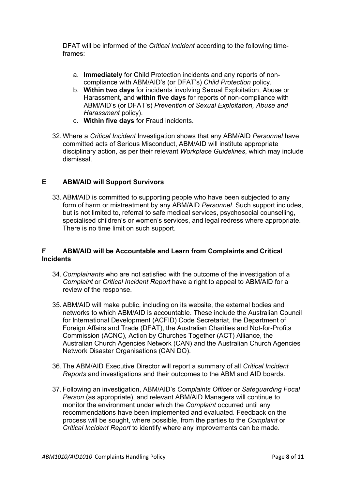DFAT will be informed of the *Critical Incident* according to the following timeframes:

- a. **Immediately** for Child Protection incidents and any reports of noncompliance with ABM/AID's (or DFAT's) *Child Protection* policy.
- b. **Within two days** for incidents involving Sexual Exploitation, Abuse or Harassment, and **within five days** for reports of non-compliance with ABM/AID's (or DFAT's) *Prevention of Sexual Exploitation, Abuse and Harassment* policy).
- c. **Within five days** for Fraud incidents.
- 32. Where a *Critical Incident* Investigation shows that any ABM/AID *Personnel* have committed acts of Serious Misconduct, ABM/AID will institute appropriate disciplinary action, as per their relevant *Workplace Guidelines*, which may include dismissal.

# **E ABM/AID will Support Survivors**

33. ABM/AID is committed to supporting people who have been subjected to any form of harm or mistreatment by any ABM/AID *Personnel*. Such support includes, but is not limited to, referral to safe medical services, psychosocial counselling, specialised children's or women's services, and legal redress where appropriate. There is no time limit on such support.

# **F ABM/AID will be Accountable and Learn from Complaints and Critical Incidents**

- 34. *Complainants* who are not satisfied with the outcome of the investigation of a *Complaint* or *Critical Incident Report* have a right to appeal to ABM/AID for a review of the response.
- 35. ABM/AID will make public, including on its website, the external bodies and networks to which ABM/AID is accountable. These include the Australian Council for International Development (ACFID) Code Secretariat, the Department of Foreign Affairs and Trade (DFAT), the Australian Charities and Not-for-Profits Commission (ACNC), Action by Churches Together (ACT) Alliance, the Australian Church Agencies Network (CAN) and the Australian Church Agencies Network Disaster Organisations (CAN DO).
- 36. The ABM/AID Executive Director will report a summary of all *Critical Incident Reports* and investigations and their outcomes to the ABM and AID boards.
- 37. Following an investigation, ABM/AID's *Complaints Officer* or *Safeguarding Focal Person* (as appropriate), and relevant ABM/AID Managers will continue to monitor the environment under which the *Complaint* occurred until any recommendations have been implemented and evaluated. Feedback on the process will be sought, where possible, from the parties to the *Complaint* or *Critical Incident Report* to identify where any improvements can be made.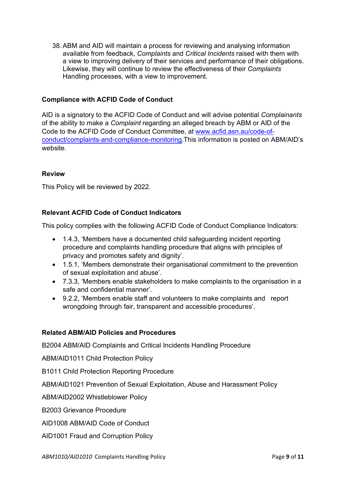38. ABM and AID will maintain a process for reviewing and analysing information available from feedback, *Complaints* and *Critical Incidents* raised with them with a view to improving delivery of their services and performance of their obligations. Likewise, they will continue to review the effectiveness of their *Complaints* Handling processes, with a view to improvement.

# **Compliance with ACFID Code of Conduct**

AID is a signatory to the ACFID Code of Conduct and will advise potential *Complainants* of the ability to make a *Complaint* regarding an alleged breach by ABM or AID of the Code to the ACFID Code of Conduct Committee, at www.acfid.asn.au/code-ofconduct/complaints-and-compliance-monitoring.This information is posted on ABM/AID's website.

# **Review**

This Policy will be reviewed by 2022.

# **Relevant ACFID Code of Conduct Indicators**

This policy complies with the following ACFID Code of Conduct Compliance Indicators:

- · 1.4.3, 'Members have a documented child safeguarding incident reporting procedure and complaints handling procedure that aligns with principles of privacy and promotes safety and dignity'.
- · 1.5.1, 'Members demonstrate their organisational commitment to the prevention of sexual exploitation and abuse'.
- · 7.3.3, 'Members enable stakeholders to make complaints to the organisation in a safe and confidential manner'.
- · 9.2.2, 'Members enable staff and volunteers to make complaints and report wrongdoing through fair, transparent and accessible procedures'.

# **Related ABM/AID Policies and Procedures**

B2004 ABM/AID Complaints and Critical Incidents Handling Procedure

ABM/AID1011 Child Protection Policy

B1011 Child Protection Reporting Procedure

ABM/AID1021 Prevention of Sexual Exploitation, Abuse and Harassment Policy

ABM/AID2002 Whistleblower Policy

B2003 Grievance Procedure

AID1008 ABM/AID Code of Conduct

AID1001 Fraud and Corruption Policy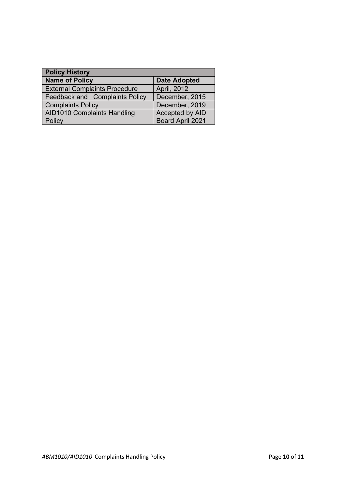| <b>Policy History</b>                |                     |  |
|--------------------------------------|---------------------|--|
| <b>Name of Policy</b>                | <b>Date Adopted</b> |  |
| <b>External Complaints Procedure</b> | April, 2012         |  |
| Feedback and Complaints Policy       | December, 2015      |  |
| <b>Complaints Policy</b>             | December, 2019      |  |
| <b>AID1010 Complaints Handling</b>   | Accepted by AID     |  |
| Policy                               | Board April 2021    |  |